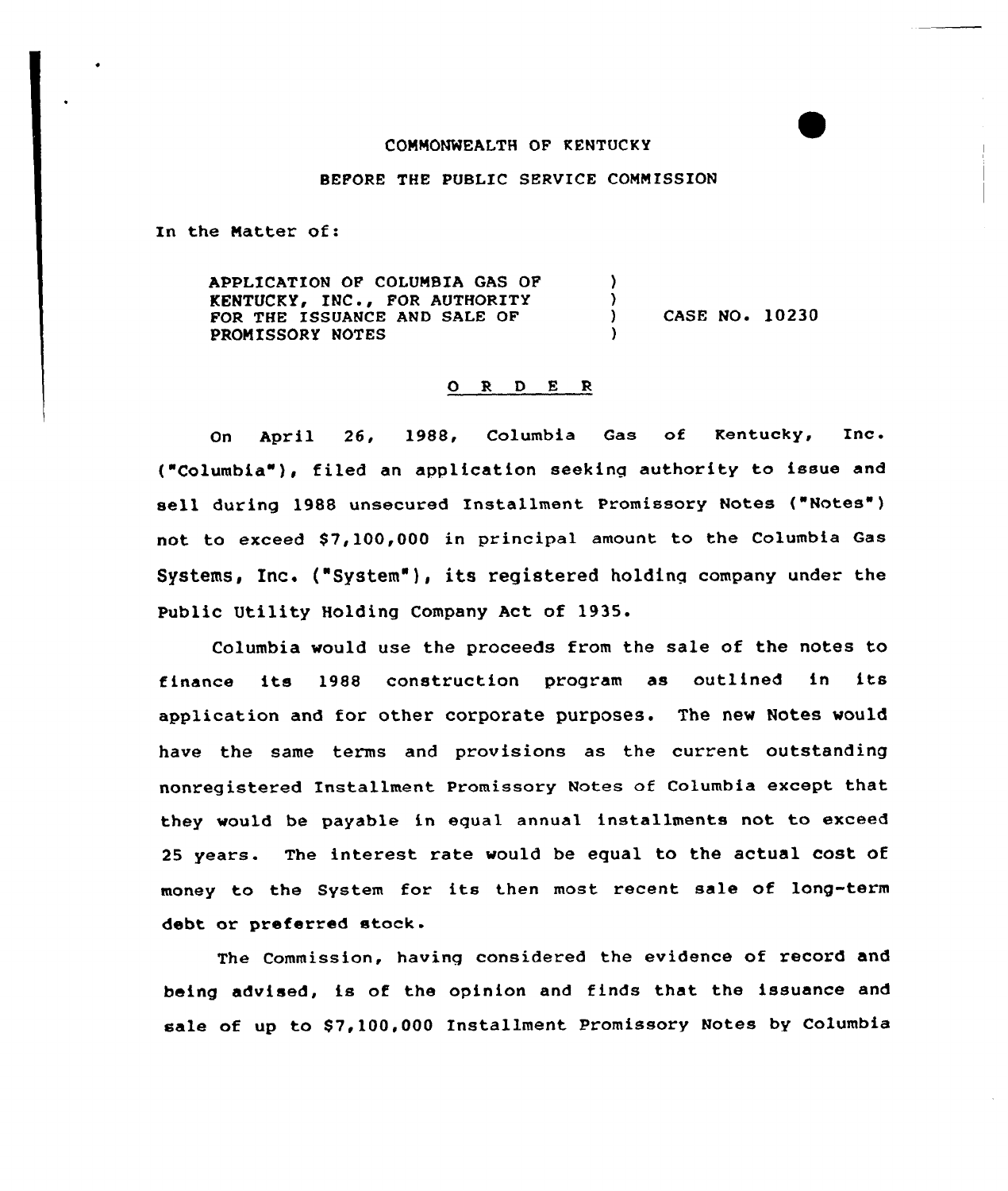## COMMONWEALTH OF KENTUCKY

## BEFORE THE PUBLIC SERVICE COMMISSION

In the Matter of:

APPLICATION OF COLUMBIA GAS OF  $\lambda$ KENTUCKY, INC., FOR AUTHORITY )<br>) CASE NO. 10230 FOR THE ISSUANCE AND SALE OF PROMISSORY NOTES )

## 0 R <sup>D</sup> E <sup>R</sup>

On April 26, 1988, Columbia Gas of Kentucky, Inc. ("Columbia" ), filed an application seeking authority to issue and sell during 1988 unsecured Installment Promissory Notes ("Notes") not to exceed \$7,100,000 in principal amount to the Columbia Gas Systems, Inc. ("System" ), its registered holding company under the Public Utility Holding Company Act of 1935.

Columbia would use the proceeds from the sale of the notes to finance its <sup>1988</sup> construction program as outlined in its application and for other corporate purposes. The new Notes would have the same terms and provisions as the current outstanding nonregistered Installment Promissory Notes of Columbia except that they would be payable in equal annual installments not to exceed 25 years. The interest rate would be equal to the actual cost of money to the System for its then most recent sale of long-term debt or preferred stock.

The Commission, having considered the evidence of record and being advised, is of the opinion and finds that the issuance and sale of up to \$7,100,000 Installment Promissory Notes by Columbia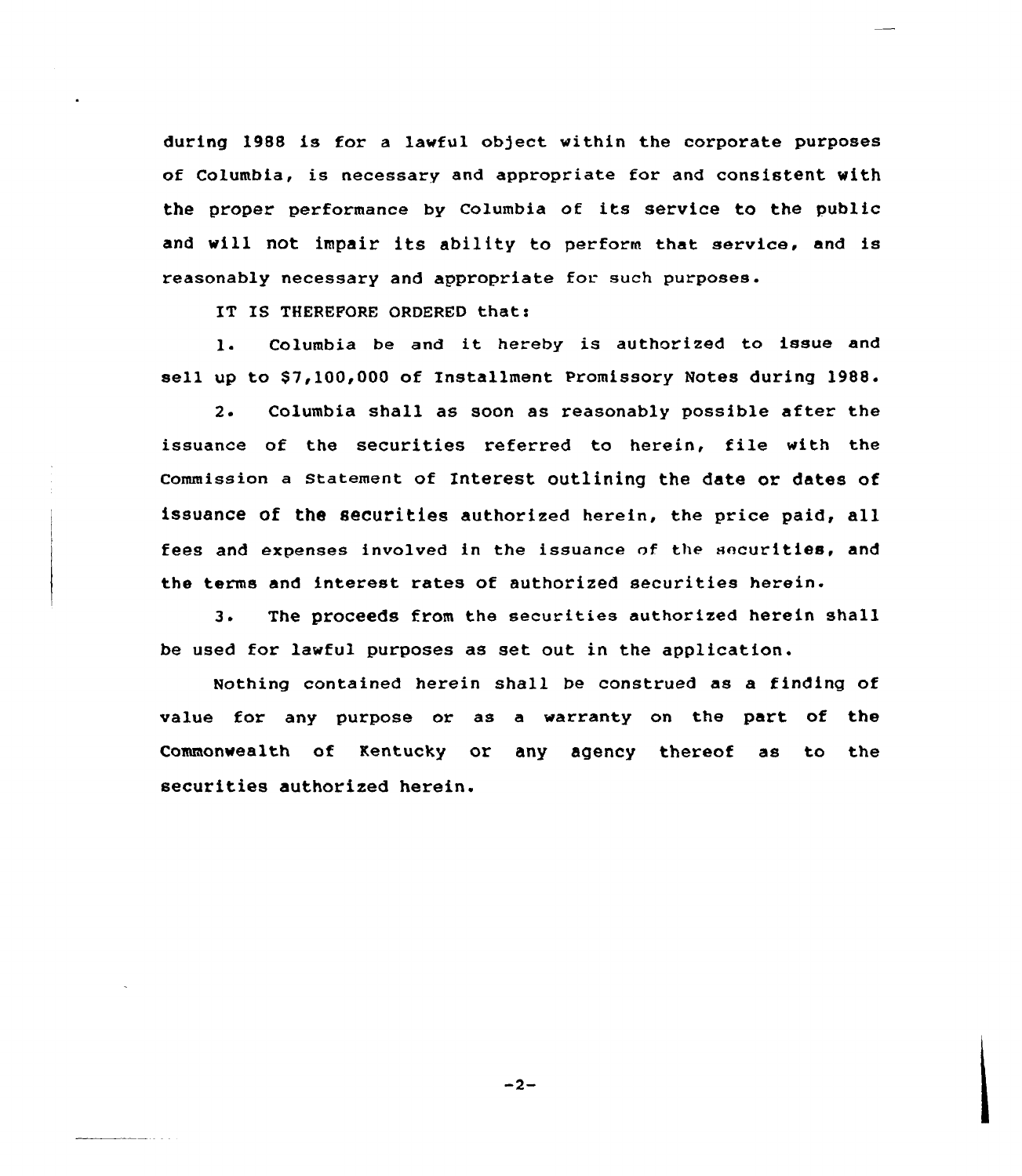during 1988 is for a lawful object within the corporate purposes of Columbia, is necessary and appropriate for and consistent with the proper performance by Columbia of its service to the public and will not impair its ability to perform that service, and is reasonably necessary and appropriate for. such purposes.

IT IS THEREFORE ORDERED that:

l. Columbia be and it hereby is authorized to issue and sell up to S7,100,000 of Installment Promissory Notes during 1988.

2. Columbia shall as soon as reasonably possible after the issuance of the securities referred to herein, file with the commission a statement of Interest outlining the date or dates of issuance of the securities authorized herein, the price paid, all fees and expenses involved in the issuance of the securities, and the terms and interest rates of authorized securities herein.

3. The proceeds from the securities authorized herein shall be used for lawful purposes as set out in the application.

Nothing contained herein shall be construed as a finding of value for any purpose or as a warranty on the part of the Commonwealth of Kentucky or any agency thereof as to the securities authorized herein.

 $-2-$